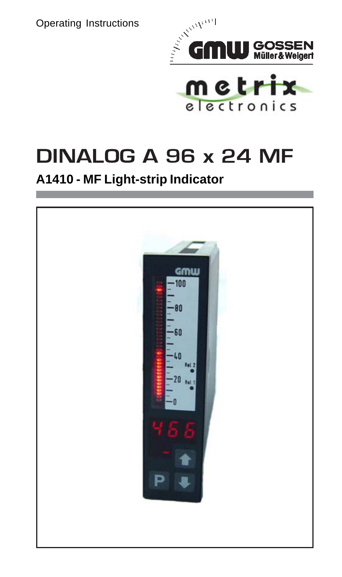Operating Instructions



electronics

# DINALOG A 96 x 24 MF

# **A1410 - MF Light-strip Indicator**

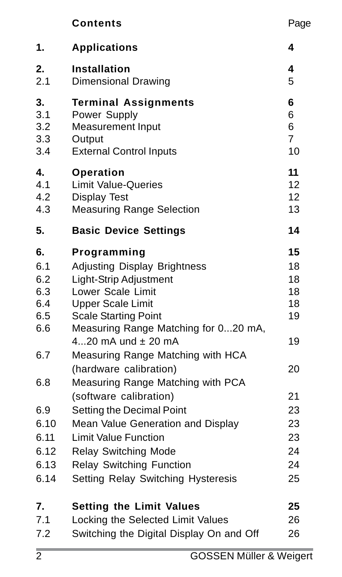|                                              | Contents                                                                                                                                                                                                                  | Page                                   |
|----------------------------------------------|---------------------------------------------------------------------------------------------------------------------------------------------------------------------------------------------------------------------------|----------------------------------------|
| 1.                                           | <b>Applications</b>                                                                                                                                                                                                       | 4                                      |
| 2.                                           | Installation                                                                                                                                                                                                              | 4                                      |
| 2.1                                          | Dimensional Drawing                                                                                                                                                                                                       | 5                                      |
| 3.                                           | <b>Terminal Assignments</b>                                                                                                                                                                                               | 6                                      |
| 3.1                                          | Power Supply                                                                                                                                                                                                              | 6                                      |
| 3.2                                          | Measurement Input                                                                                                                                                                                                         | 6                                      |
| 3.3                                          | Output                                                                                                                                                                                                                    | $\overline{7}$                         |
| 3.4                                          | <b>External Control Inputs</b>                                                                                                                                                                                            | 10                                     |
| 4.                                           | Operation                                                                                                                                                                                                                 | 11                                     |
| 4.1                                          | <b>Limit Value-Queries</b>                                                                                                                                                                                                | 12                                     |
| 4.2                                          | Display Test                                                                                                                                                                                                              | 12                                     |
| 4.3                                          | <b>Measuring Range Selection</b>                                                                                                                                                                                          | 13                                     |
| 5.                                           | <b>Basic Device Settings</b>                                                                                                                                                                                              | 14                                     |
| 6.<br>6.1<br>6.2<br>6.3<br>6.4<br>6.5<br>6.6 | Programming<br>Adjusting Display Brightness<br>Light-Strip Adjustment<br>Lower Scale Limit<br><b>Upper Scale Limit</b><br><b>Scale Starting Point</b><br>Measuring Range Matching for 020 mA,<br>420 $mA$ und $±$ 20 $mA$ | 15<br>18<br>18<br>18<br>18<br>19<br>19 |
| 6.7                                          | Measuring Range Matching with HCA<br>(hardware calibration)                                                                                                                                                               | 20                                     |
| 6.8                                          | Measuring Range Matching with PCA<br>(software calibration)                                                                                                                                                               | 21                                     |
| 6.9                                          | Setting the Decimal Point                                                                                                                                                                                                 | 23                                     |
| 6.10                                         | Mean Value Generation and Display                                                                                                                                                                                         | 23                                     |
| 6.11                                         | <b>Limit Value Function</b>                                                                                                                                                                                               | 23                                     |
| 6.12                                         | <b>Relay Switching Mode</b>                                                                                                                                                                                               | 24                                     |
| 6.13                                         | <b>Relay Switching Function</b>                                                                                                                                                                                           | 24                                     |
| 6.14                                         | Setting Relay Switching Hysteresis                                                                                                                                                                                        | 25                                     |
| 7.                                           | <b>Setting the Limit Values</b>                                                                                                                                                                                           | 25                                     |
| 7.1                                          | Locking the Selected Limit Values                                                                                                                                                                                         | 26                                     |
| 7.2                                          | Switching the Digital Display On and Off                                                                                                                                                                                  | 26                                     |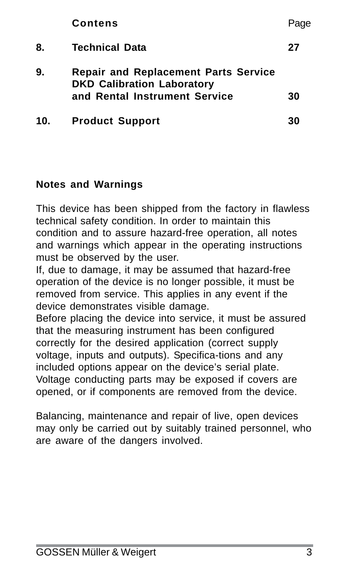|     | <b>Contens</b>                                                                                                    | Page |
|-----|-------------------------------------------------------------------------------------------------------------------|------|
| 8.  | <b>Technical Data</b>                                                                                             | 27   |
| 9.  | <b>Repair and Replacement Parts Service</b><br><b>DKD Calibration Laboratory</b><br>and Rental Instrument Service | 30   |
| 10. | <b>Product Support</b>                                                                                            | 30   |

#### **Notes and Warnings**

This device has been shipped from the factory in flawless technical safety condition. In order to maintain this condition and to assure hazard-free operation, all notes and warnings which appear in the operating instructions must be observed by the user.

If, due to damage, it may be assumed that hazard-free operation of the device is no longer possible, it must be removed from service. This applies in any event if the device demonstrates visible damage.

Before placing the device into service, it must be assured that the measuring instrument has been configured correctly for the desired application (correct supply voltage, inputs and outputs). Specifica-tions and any included options appear on the device's serial plate. Voltage conducting parts may be exposed if covers are opened, or if components are removed from the device.

Balancing, maintenance and repair of live, open devices may only be carried out by suitably trained personnel, who are aware of the dangers involved.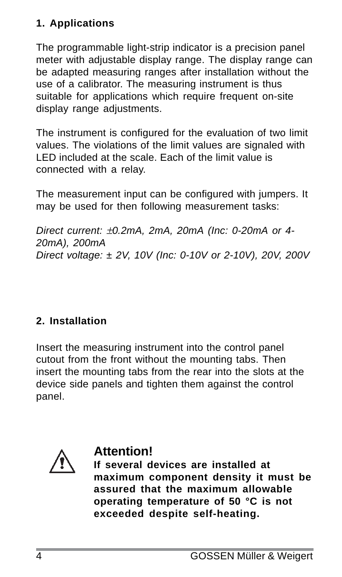# **1. Applications**

The programmable light-strip indicator is a precision panel meter with adjustable display range. The display range can be adapted measuring ranges after installation without the use of a calibrator. The measuring instrument is thus suitable for applications which require frequent on-site display range adjustments.

The instrument is configured for the evaluation of two limit values. The violations of the limit values are signaled with LED included at the scale. Each of the limit value is connected with a relay.

The measurement input can be configured with jumpers. It may be used for then following measurement tasks:

*Direct current:* ±*0.2mA, 2mA, 20mA (Inc: 0-20mA or 4- 20mA), 200mA Direct voltage: ± 2V, 10V (Inc: 0-10V or 2-10V), 20V, 200V*

# **2. Installation**

Insert the measuring instrument into the control panel cutout from the front without the mounting tabs. Then insert the mounting tabs from the rear into the slots at the device side panels and tighten them against the control panel.



# **Attention!**

**If several devices are installed at maximum component density it must be assured that the maximum allowable operating temperature of 50 °C is not exceeded despite self-heating.**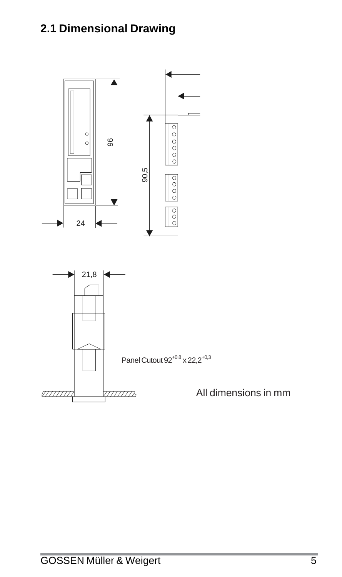# **2.1 Dimensional Drawing**

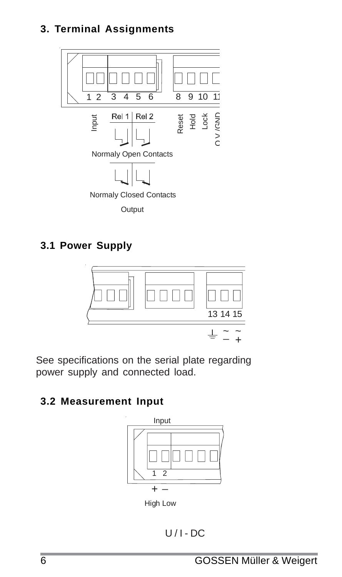#### **3. Terminal Assignments**



# **3.1 Power Supply**



See specifications on the serial plate regarding power supply and connected load.

# **3.2 Measurement Input**



High Low

 $U/I$  - DC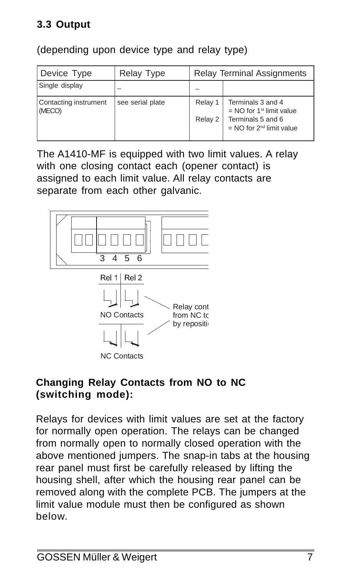# **3.3 Output**

(depending upon device type and relay type)

| Device Type                     | <b>Relay Type</b> | <b>Relay Terminal Assignments</b> |                                                                                                                  |
|---------------------------------|-------------------|-----------------------------------|------------------------------------------------------------------------------------------------------------------|
| Single display                  |                   |                                   |                                                                                                                  |
| Contacting instrument<br>(MECO) | see serial plate  | Relay 1<br>Relay 2                | Terminals 3 and 4<br>$=$ NO for 1 <sup>st</sup> limit value<br>Terminals 5 and 6<br>$=$ NO for $2nd$ limit value |

The A1410-MF is equipped with two limit values. A relay with one closing contact each (opener contact) is assigned to each limit value. All relay contacts are separate from each other galvanic.



#### **Changing Relay Contacts from NO to NC (switching mode):**

Relays for devices with limit values are set at the factory for normally open operation. The relays can be changed from normally open to normally closed operation with the above mentioned jumpers. The snap-in tabs at the housing rear panel must first be carefully released by lifting the housing shell, after which the housing rear panel can be removed along with the complete PCB. The jumpers at the limit value module must then be configured as shown below.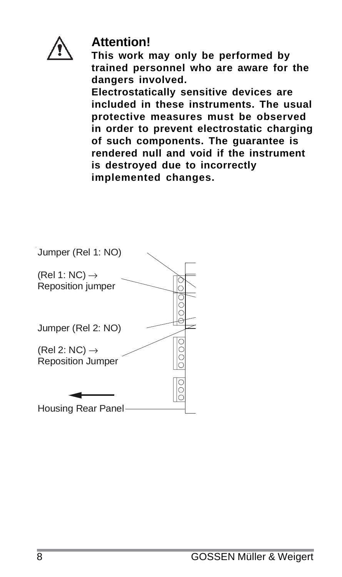

# **Attention!**

**This work may only be performed by trained personnel who are aware for the dangers involved.**

**Electrostatically sensitive devices are included in these instruments. The usual protective measures must be observed in order to prevent electrostatic charging of such components. The guarantee is rendered null and void if the instrument is destroyed due to incorrectly implemented changes.**

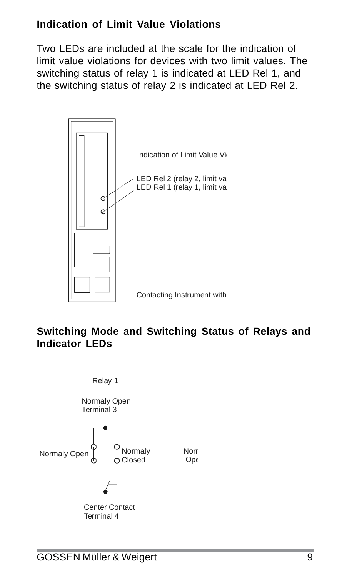#### **Indication of Limit Value Violations**

Two LEDs are included at the scale for the indication of limit value violations for devices with two limit values. The switching status of relay 1 is indicated at LED Rel 1, and the switching status of relay 2 is indicated at LED Rel 2.



#### **Switching Mode and Switching Status of Relays and Indicator LEDs**

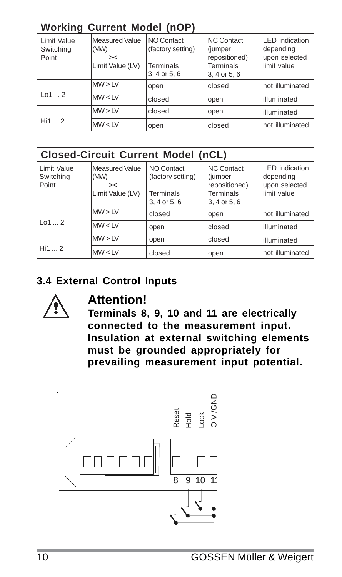| <b>Working Current Model (nOP)</b> |                                                  |                                                                     |                                                                                   |                                                                    |
|------------------------------------|--------------------------------------------------|---------------------------------------------------------------------|-----------------------------------------------------------------------------------|--------------------------------------------------------------------|
| Limit Value<br>Switching<br>Point  | Measured Value<br>(MW)<br>><<br>Limit Value (LV) | NO Contact<br>(factory setting)<br><b>Terminals</b><br>3, 4 or 5, 6 | <b>NC Contact</b><br>(jumper<br>repositioned)<br><b>Terminals</b><br>3, 4 or 5, 6 | <b>LED</b> indication<br>depending<br>upon selected<br>limit value |
|                                    | MW > LV                                          | open                                                                | closed                                                                            | not illuminated                                                    |
| 1012                               | MW < LV                                          | closed                                                              | open                                                                              | illuminated                                                        |
|                                    | MW > LV                                          | closed                                                              | open                                                                              | illuminated                                                        |
| Hi1 2                              | MW < LV                                          | open                                                                | closed                                                                            | not illuminated                                                    |

| <b>Closed-Circuit Current Model (nCL)</b> |                                                  |                                                                     |                                                                                   |                                                                    |
|-------------------------------------------|--------------------------------------------------|---------------------------------------------------------------------|-----------------------------------------------------------------------------------|--------------------------------------------------------------------|
| Limit Value<br>Switching<br>Point         | Measured Value<br>(MW)<br>><<br>Limit Value (LV) | NO Contact<br>(factory setting)<br><b>Terminals</b><br>3, 4 or 5, 6 | <b>NC Contact</b><br>(jumper<br>repositioned)<br><b>Terminals</b><br>3, 4 or 5, 6 | <b>LED</b> indication<br>depending<br>upon selected<br>limit value |
|                                           | MW > LV                                          | closed                                                              | open                                                                              | not illuminated                                                    |
| 1012                                      | MW < LV                                          | open                                                                | closed                                                                            | illuminated                                                        |
|                                           | MW > LV                                          | open                                                                | closed                                                                            | illuminated                                                        |
| Hi1  2                                    | MW < LV                                          | closed                                                              | open                                                                              | not illuminated                                                    |

#### **3.4 External Control Inputs**



# **Attention!**

**Terminals 8, 9, 10 and 11 are electrically connected to the measurement input. Insulation at external switching elements must be grounded appropriately for prevailing measurement input potential.**

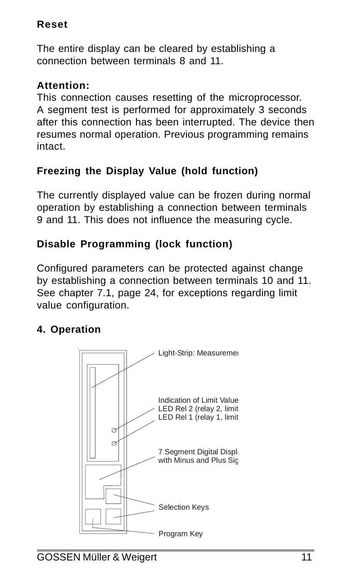# **Reset**

The entire display can be cleared by establishing a connection between terminals 8 and 11.

# **Attention:**

This connection causes resetting of the microprocessor. A segment test is performed for approximately 3 seconds after this connection has been interrupted. The device then resumes normal operation. Previous programming remains intact.

# **Freezing the Display Value (hold function)**

The currently displayed value can be frozen during normal operation by establishing a connection between terminals 9 and 11. This does not influence the measuring cycle.

# **Disable Programming (lock function)**

Configured parameters can be protected against change by establishing a connection between terminals 10 and 11. See chapter 7.1, page 24, for exceptions regarding limit value configuration.

# **4. Operation**

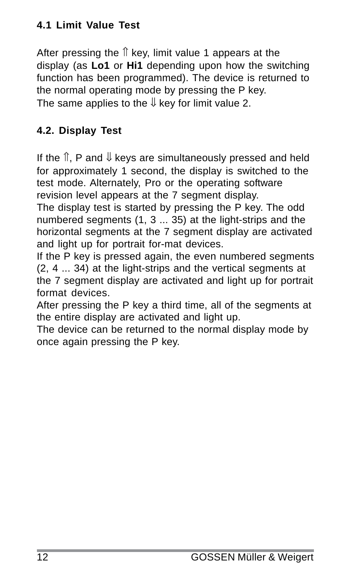# **4.1 Limit Value Test**

After pressing the  $<sup>†</sup>$  key, limit value 1 appears at the</sup> display (as **Lo1** or **Hi1** depending upon how the switching function has been programmed). The device is returned to the normal operating mode by pressing the P key. The same applies to the  $\Downarrow$  key for limit value 2.

## **4.2. Display Test**

If the  $\hat{\mathbb{I}}$ , P and  $\hat{\mathbb{I}}$  keys are simultaneously pressed and held for approximately 1 second, the display is switched to the test mode. Alternately, Pro or the operating software revision level appears at the 7 segment display.

The display test is started by pressing the P key. The odd numbered segments (1, 3 ... 35) at the light-strips and the horizontal segments at the 7 segment display are activated and light up for portrait for-mat devices.

If the P key is pressed again, the even numbered segments (2, 4 ... 34) at the light-strips and the vertical segments at the 7 segment display are activated and light up for portrait format devices.

After pressing the P key a third time, all of the segments at the entire display are activated and light up.

The device can be returned to the normal display mode by once again pressing the P key.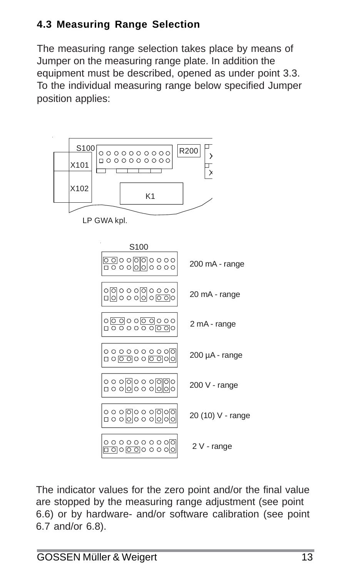# **4.3 Measuring Range Selection**

The measuring range selection takes place by means of Jumper on the measuring range plate. In addition the equipment must be described, opened as under point 3.3. To the individual measuring range below specified Jumper position applies:



The indicator values for the zero point and/or the final value are stopped by the measuring range adjustment (see point 6.6) or by hardware- and/or software calibration (see point 6.7 and/or 6.8).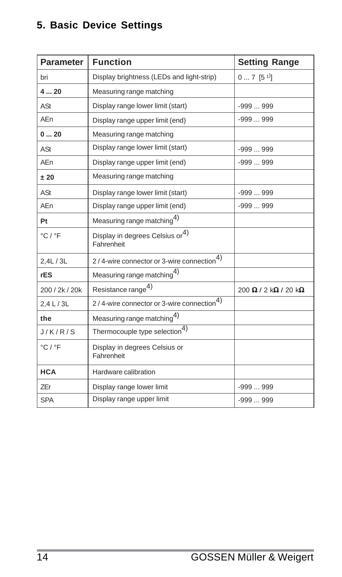# **5. Basic Device Settings**

| Parameter                   | <b>Function</b>                                           | <b>Setting Range</b>                                      |
|-----------------------------|-----------------------------------------------------------|-----------------------------------------------------------|
| bri                         | Display brightness (LEDs and light-strip)                 | $07$ [5 <sup>1)</sup> ]                                   |
| 420                         | Measuring range matching                                  |                                                           |
| ASt                         | Display range lower limit (start)                         | $-999999$                                                 |
| AEn                         | Display range upper limit (end)                           | $-999999$                                                 |
| 020                         | Measuring range matching                                  |                                                           |
| ASt                         | Display range lower limit (start)                         | $-999999$                                                 |
| AEn                         | Display range upper limit (end)                           | $-999999$                                                 |
| ±20                         | Measuring range matching                                  |                                                           |
| ASt                         | Display range lower limit (start)                         | $-999999$                                                 |
| AEn                         | Display range upper limit (end)                           | $-999999$                                                 |
| Pt                          | Measuring range matching <sup>4)</sup>                    |                                                           |
| $^{\circ}$ C / $^{\circ}$ F | Display in degrees Celsius or <sup>4)</sup><br>Fahrenheit |                                                           |
| 2.4L / 3L                   | 2/4-wire connector or 3-wire connection <sup>4)</sup>     |                                                           |
| rES                         | Measuring range matching <sup>4)</sup>                    |                                                           |
| 200 / 2k / 20k              | Resistance range <sup>4)</sup>                            | $200 \Omega$ / $2 \text{ k}\Omega$ / $20 \text{ k}\Omega$ |
| 2.4 L / 3L                  | 2/4-wire connector or 3-wire connection <sup>4)</sup>     |                                                           |
| the                         | Measuring range matching4)                                |                                                           |
| J/K/R/S                     | Thermocouple type selection <sup>4)</sup>                 |                                                           |
| $^{\circ}$ C / $^{\circ}$ F | Display in degrees Celsius or<br>Fahrenheit               |                                                           |
| <b>HCA</b>                  | Hardware calibration                                      |                                                           |
| <b>ZEr</b>                  | Display range lower limit                                 | $-999999$                                                 |
| <b>SPA</b>                  | Display range upper limit                                 | $-999999$                                                 |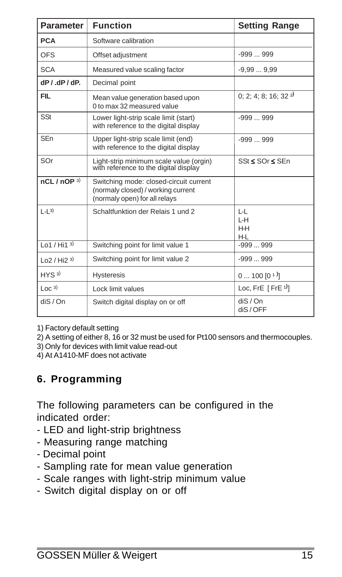| Parameter                  | <b>Function</b>                                                                                               | <b>Setting Range</b>         |
|----------------------------|---------------------------------------------------------------------------------------------------------------|------------------------------|
| <b>PCA</b>                 | Software calibration                                                                                          |                              |
| <b>OFS</b>                 | Offset adjustment                                                                                             | $-999999$                    |
| <b>SCA</b>                 | Measured value scaling factor                                                                                 | $-9.999.99$                  |
| $dP$ / $dP$ / $dP$ .       | Decimal point                                                                                                 |                              |
| <b>FIL</b>                 | Mean value generation based upon<br>0 to max 32 measured value                                                | 0; 2; 4; 8; 16; 32 $2$       |
| SSt                        | Lower light-strip scale limit (start)<br>with reference to the digital display                                | $-999999$                    |
| <b>SEn</b>                 | Upper light-strip scale limit (end)<br>with reference to the digital display                                  | $-999999$                    |
| SOr                        | Light-strip minimum scale value (orgin)<br>with reference to the digital display                              | SSt < SOr < SEn              |
| nCL / nOP <sup>3</sup>     | Switching mode: closed-circuit current<br>(normaly closed) / working current<br>(normaly open) for all relays |                              |
| $  -   3$                  | Schaltfunktion der Relais 1 und 2                                                                             | L-L<br>$H - H$<br>H-H<br>H-L |
| Lo1 / Hi1 <sup>3</sup>     | Switching point for limit value 1                                                                             | $-999999$                    |
| $\lfloor 02 / Hi2 \rfloor$ | Switching point for limit value 2                                                                             | $-999999$                    |
| HYS <sub>3</sub>           | <b>Hysteresis</b>                                                                                             | $0100[0]$ <sup>1</sup>       |
| $\lfloor$ OC $^{3}$ )      | Lock limit values                                                                                             | Loc, FrE $[$ FrE $[$         |
| dis/On                     | Switch digital display on or off                                                                              | dis/On<br>diS/OFF            |

1) Factory default setting

2) A setting of either 8, 16 or 32 must be used for Pt100 sensors and thermocouples.

3) Only for devices with limit value read-out

4) At A1410-MF does not activate

#### **6. Programming**

The following parameters can be configured in the indicated order:

- LED and light-strip brightness
- Measuring range matching
- Decimal point
- Sampling rate for mean value generation
- Scale ranges with light-strip minimum value
- Switch digital display on or off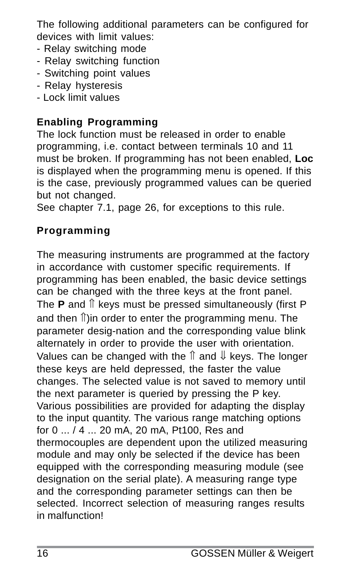The following additional parameters can be configured for devices with limit values:

- Relay switching mode
- Relay switching function
- Switching point values
- Relay hysteresis
- Lock limit values

# **Enabling Programming**

The lock function must be released in order to enable programming, i.e. contact between terminals 10 and 11 must be broken. If programming has not been enabled, **Loc** is displayed when the programming menu is opened. If this is the case, previously programmed values can be queried but not changed.

See chapter 7.1, page 26, for exceptions to this rule.

# **Programming**

The measuring instruments are programmed at the factory in accordance with customer specific requirements. If programming has been enabled, the basic device settings can be changed with the three keys at the front panel. The **P** and ⇑ keys must be pressed simultaneously (first P and then **Î**)in order to enter the programming menu. The parameter desig-nation and the corresponding value blink alternately in order to provide the user with orientation. Values can be changed with the  $\hat{\parallel}$  and  $\hat{\parallel}$  keys. The longer these keys are held depressed, the faster the value changes. The selected value is not saved to memory until the next parameter is queried by pressing the P key. Various possibilities are provided for adapting the display to the input quantity. The various range matching options for 0 ... / 4 ... 20 mA, 20 mA, Pt100, Res and thermocouples are dependent upon the utilized measuring module and may only be selected if the device has been equipped with the corresponding measuring module (see designation on the serial plate). A measuring range type and the corresponding parameter settings can then be selected. Incorrect selection of measuring ranges results in malfunction!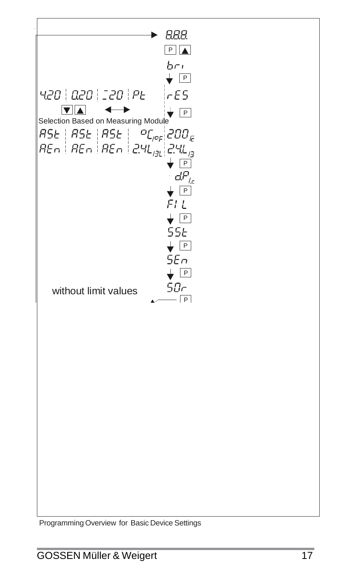$\rightarrow$  888  $P_A$  $b<sub>0</sub>$  $\overline{P}$ 420 | 020 | 120 | PE  $|cE5$  $\nabla\mathbf{A}$  $\overline{\phantom{a}}$  P Selection Based on Measuring Module  $\sigma$  $\epsilon$   $\sim$   $\sigma$ /<del>J</del>LI - ' ''- / P  $dP$  $\overline{\mathsf{P}}$  $FIL$  $\overline{P}$  $55<sub>E</sub>$  $\overline{P}$  $5En$  $F$ 50r without limit values $-\sqrt{P}$ 

Programming Overview for Basic Device Settings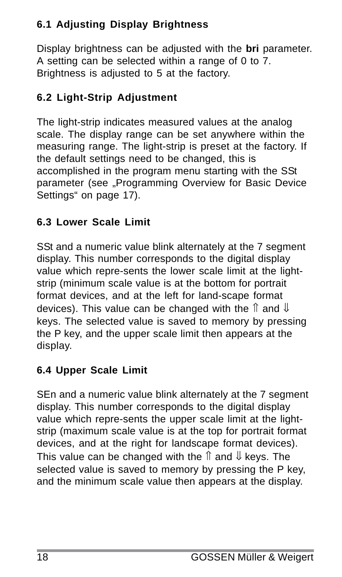# **6.1 Adjusting Display Brightness**

Display brightness can be adjusted with the **bri** parameter. A setting can be selected within a range of 0 to 7. Brightness is adjusted to 5 at the factory.

# **6.2 Light-Strip Adjustment**

The light-strip indicates measured values at the analog scale. The display range can be set anywhere within the measuring range. The light-strip is preset at the factory. If the default settings need to be changed, this is accomplished in the program menu starting with the SSt parameter (see "Programming Overview for Basic Device Settings" on page 17).

# **6.3 Lower Scale Limit**

SSt and a numeric value blink alternately at the 7 segment display. This number corresponds to the digital display value which repre-sents the lower scale limit at the lightstrip (minimum scale value is at the bottom for portrait format devices, and at the left for land-scape format devices). This value can be changed with the  $\hat{\parallel}$  and  $\hat{\parallel}$ keys. The selected value is saved to memory by pressing the P key, and the upper scale limit then appears at the display.

# **6.4 Upper Scale Limit**

SEn and a numeric value blink alternately at the 7 segment display. This number corresponds to the digital display value which repre-sents the upper scale limit at the lightstrip (maximum scale value is at the top for portrait format devices, and at the right for landscape format devices). This value can be changed with the  $\hat{\parallel}$  and  $\hat{\Downarrow}$  kevs. The selected value is saved to memory by pressing the P key, and the minimum scale value then appears at the display.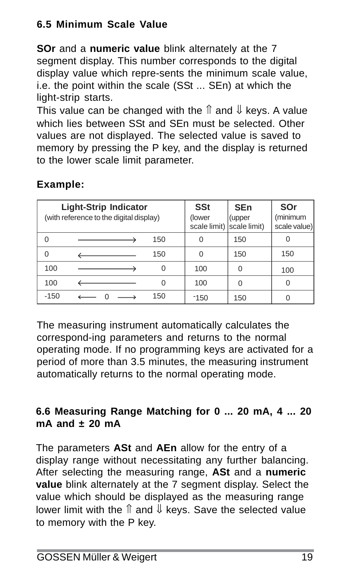# **6.5 Minimum Scale Value**

**SOr** and a **numeric value** blink alternately at the 7 segment display. This number corresponds to the digital display value which repre-sents the minimum scale value, i.e. the point within the scale (SSt ... SEn) at which the light-strip starts.

This value can be changed with the  $\hat{\parallel}$  and  $\hat{\parallel}$  keys. A value which lies between SSt and SEn must be selected. Other values are not displayed. The selected value is saved to memory by pressing the P key, and the display is returned to the lower scale limit parameter.

| <b>Light-Strip Indicator</b><br>(with reference to the digital display) |  | <b>SSt</b><br>(lower<br>scale limit) scale limit) | <b>SEn</b><br>(upper | SOr<br>(minimum<br>scale value) |          |
|-------------------------------------------------------------------------|--|---------------------------------------------------|----------------------|---------------------------------|----------|
| U                                                                       |  | 150                                               | 0                    | 150                             |          |
| U                                                                       |  | 150                                               | 0                    | 150                             | 150      |
| 100                                                                     |  | 0                                                 | 100                  | O                               | 100      |
| 100                                                                     |  | 0                                                 | 100                  | O                               | $\Omega$ |
| $-150$                                                                  |  | 150                                               | $-150$               | 150                             |          |

# **Example:**

The measuring instrument automatically calculates the correspond-ing parameters and returns to the normal operating mode. If no programming keys are activated for a period of more than 3.5 minutes, the measuring instrument automatically returns to the normal operating mode.

#### **6.6 Measuring Range Matching for 0 ... 20 mA, 4 ... 20 mA and ± 20 mA**

The parameters **ASt** and **AEn** allow for the entry of a display range without necessitating any further balancing. After selecting the measuring range, **ASt** and a **numeric value** blink alternately at the 7 segment display. Select the value which should be displayed as the measuring range lower limit with the  $\hat{\mathbb{I}}$  and  $\hat{\mathbb{I}}$  kevs. Save the selected value to memory with the P key.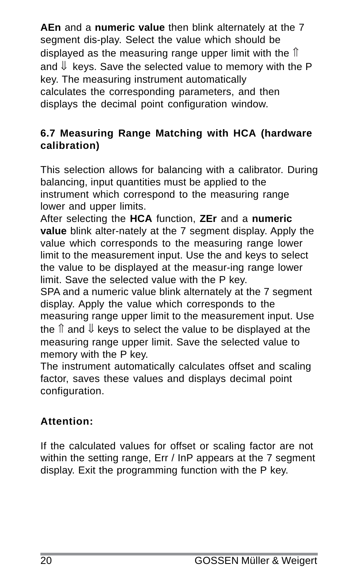**AEn** and a **numeric value** then blink alternately at the 7 segment dis-play. Select the value which should be displayed as the measuring range upper limit with the  $\uparrow$ and  $\Downarrow$  keys. Save the selected value to memory with the P key. The measuring instrument automatically calculates the corresponding parameters, and then displays the decimal point configuration window.

#### **6.7 Measuring Range Matching with HCA (hardware calibration)**

This selection allows for balancing with a calibrator. During balancing, input quantities must be applied to the instrument which correspond to the measuring range lower and upper limits.

After selecting the **HCA** function, **ZEr** and a **numeric value** blink alter-nately at the 7 segment display. Apply the value which corresponds to the measuring range lower limit to the measurement input. Use the and keys to select the value to be displayed at the measur-ing range lower limit. Save the selected value with the P key.

SPA and a numeric value blink alternately at the 7 segment display. Apply the value which corresponds to the measuring range upper limit to the measurement input. Use the  $\hat{\parallel}$  and  $\hat{\parallel}$  keys to select the value to be displayed at the measuring range upper limit. Save the selected value to memory with the P key.

The instrument automatically calculates offset and scaling factor, saves these values and displays decimal point configuration.

#### **Attention:**

If the calculated values for offset or scaling factor are not within the setting range. Err / InP appears at the 7 segment display. Exit the programming function with the P key.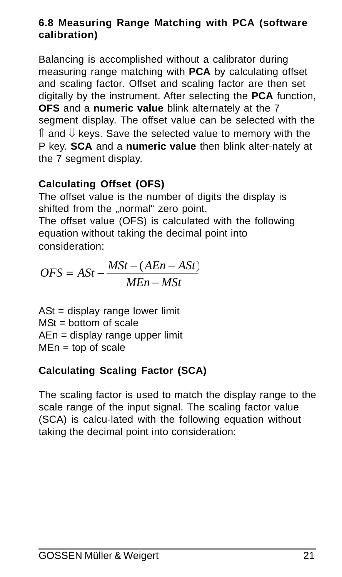#### **6.8 Measuring Range Matching with PCA (software calibration)**

Balancing is accomplished without a calibrator during measuring range matching with **PCA** by calculating offset and scaling factor. Offset and scaling factor are then set digitally by the instrument. After selecting the **PCA** function, **OFS** and a **numeric value** blink alternately at the 7 segment display. The offset value can be selected with the  $\hat{\mathbb{I}}$  and  $\hat{\mathbb{I}}$  kevs. Save the selected value to memory with the P key. **SCA** and a **numeric value** then blink alter-nately at the 7 segment display.

#### **Calculating Offset (OFS)**

The offset value is the number of digits the display is shifted from the ..normal" zero point.

The offset value (OFS) is calculated with the following equation without taking the decimal point into consideration:

$$
OFS = ASt - \frac{MSt - (AEn - ASt)}{MEn - MSt}
$$

 $ASt =$  display range lower limit  $MSt = bottom of scale$ AEn = display range upper limit  $MEn = top of scale$ 

# **Calculating Scaling Factor (SCA)**

The scaling factor is used to match the display range to the scale range of the input signal. The scaling factor value (SCA) is calcu-lated with the following equation without taking the decimal point into consideration: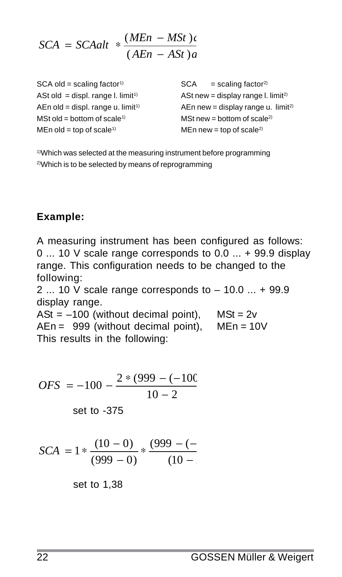$$
SCA = SCAalt * \frac{(MEn - MSt)\epsilon}{(AEn - Ast)a}
$$

 $SCA old = scaling factor<sup>1</sup>$   $SCA = scaling factor<sup>2</sup>$ MSt old = bottom of scale<sup>1)</sup>  $MSt$  new = bottom of scale<sup>2)</sup>  $MEn old = ton of scale<sup>1</sup>$  MEn new = top of scale<sup>2)</sup>

ASt old = displ. range l. limit<sup>1)</sup>  $ABt$  new = display range l. limit<sup>2)</sup> AEn old = displ. range u. limit<sup>1)</sup>  $AEn new = display$  and  $AEn new =$  AEn new = display range u. limit<sup>2)</sup>

1)Which was selected at the measuring instrument before programming 2)Which is to be selected by means of reprogramming

#### **Example:**

A measuring instrument has been configured as follows: 0 ... 10 V scale range corresponds to 0.0 ... + 99.9 display range. This configuration needs to be changed to the following:

2 ... 10 V scale range corresponds to – 10.0 ... + 99.9 display range.

 $ASt = -100$  (without decimal point),  $MSt = 2v$  $AEn = 999$  (without decimal point).  $MEn = 10V$ This results in the following:

$$
OFS = -100 - \frac{2*(999 - (-100))}{10 - 2}
$$

set to -375

$$
SCA = 1 * \frac{(10-0)}{(999-0)} * \frac{(999-(-1))}{(10-1)}
$$

set to 1,38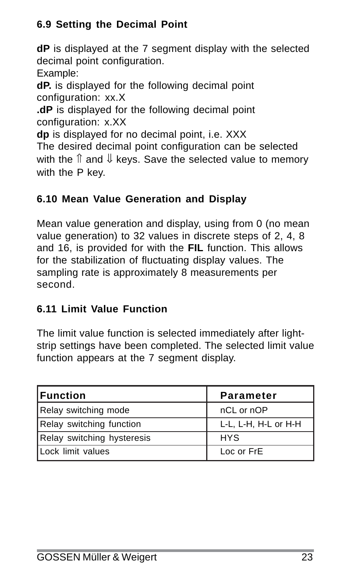# **6.9 Setting the Decimal Point**

**dP** is displayed at the 7 segment display with the selected decimal point configuration.

Example:

**dP.** is displayed for the following decimal point configuration: xx.X

**.dP** is displayed for the following decimal point configuration: x.XX

**dp** is displayed for no decimal point, i.e. XXX The desired decimal point configuration can be selected with the  $\hat{\parallel}$  and  $\hat{\parallel}$  keys. Save the selected value to memory with the P key.

# **6.10 Mean Value Generation and Display**

Mean value generation and display, using from 0 (no mean value generation) to 32 values in discrete steps of 2, 4, 8 and 16, is provided for with the **FIL** function. This allows for the stabilization of fluctuating display values. The sampling rate is approximately 8 measurements per second.

# **6.11 Limit Value Function**

The limit value function is selected immediately after lightstrip settings have been completed. The selected limit value function appears at the 7 segment display.

| l Function                 | Parameter            |
|----------------------------|----------------------|
| Relay switching mode       | nCL or nOP           |
| Relay switching function   | L-L, L-H, H-L or H-H |
| Relay switching hysteresis | <b>HYS</b>           |
| Lock limit values          | Loc or FrE           |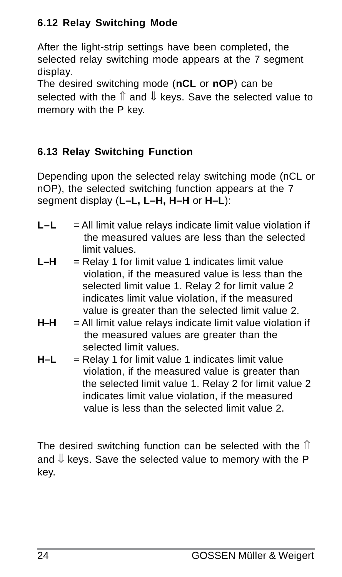# **6.12 Relay Switching Mode**

After the light-strip settings have been completed, the selected relay switching mode appears at the 7 segment display.

The desired switching mode (**nCL** or **nOP**) can be selected with the  $\hat{\parallel}$  and  $\hat{\Downarrow}$  kevs. Save the selected value to memory with the P key.

# **6.13 Relay Switching Function**

Depending upon the selected relay switching mode (nCL or nOP), the selected switching function appears at the 7 segment display (**L–L, L–H, H–H** or **H–L**):

- L–L = All limit value relays indicate limit value violation if the measured values are less than the selected limit values.
- $L-H$  = Relay 1 for limit value 1 indicates limit value violation, if the measured value is less than the selected limit value 1. Relay 2 for limit value 2 indicates limit value violation, if the measured value is greater than the selected limit value 2.
- **H–H** = All limit value relays indicate limit value violation if the measured values are greater than the selected limit values.
- **H–L** = Relay 1 for limit value 1 indicates limit value violation, if the measured value is greater than the selected limit value 1. Relay 2 for limit value 2 indicates limit value violation, if the measured value is less than the selected limit value 2.

The desired switching function can be selected with the  $<sup>↑</sup>$ </sup> and  $\Downarrow$  keys. Save the selected value to memory with the P key.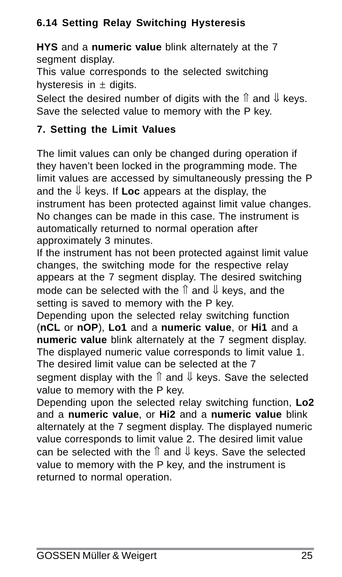# **6.14 Setting Relay Switching Hysteresis**

**HYS** and a **numeric value** blink alternately at the 7 segment display.

This value corresponds to the selected switching hysteresis in  $\pm$  digits.

Select the desired number of digits with the  $\hat{\parallel}$  and  $\hat{\Downarrow}$  keys. Save the selected value to memory with the P key.

# **7. Setting the Limit Values**

The limit values can only be changed during operation if they haven't been locked in the programming mode. The limit values are accessed by simultaneously pressing the P and the ⇓ keys. If **Loc** appears at the display, the instrument has been protected against limit value changes. No changes can be made in this case. The instrument is automatically returned to normal operation after approximately 3 minutes.

If the instrument has not been protected against limit value changes, the switching mode for the respective relay appears at the 7 segment display. The desired switching mode can be selected with the ⇑ and ⇓ keys, and the setting is saved to memory with the P key.

Depending upon the selected relay switching function (**nCL** or **nOP**), **Lo1** and a **numeric value**, or **Hi1** and a **numeric value** blink alternately at the 7 segment display. The displayed numeric value corresponds to limit value 1. The desired limit value can be selected at the 7 segment display with the  $\hat{\parallel}$  and  $\hat{\Downarrow}$  keys. Save the selected value to memory with the P key.

Depending upon the selected relay switching function, **Lo2** and a **numeric value**, or **Hi2** and a **numeric value** blink alternately at the 7 segment display. The displayed numeric value corresponds to limit value 2. The desired limit value can be selected with the  $\hat{\parallel}$  and  $\hat{\Downarrow}$  keys. Save the selected value to memory with the P key, and the instrument is returned to normal operation.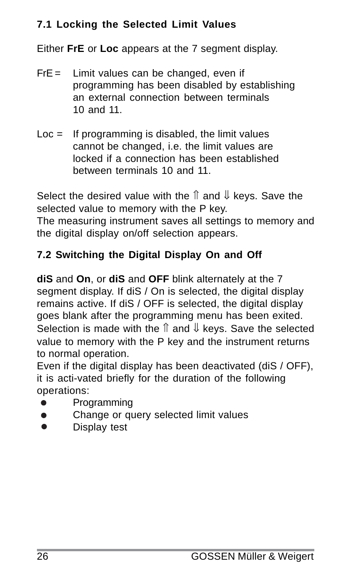# **7.1 Locking the Selected Limit Values**

Either **FrE** or **Loc** appears at the 7 segment display.

- $FrE =$  Limit values can be changed, even if programming has been disabled by establishing an external connection between terminals 10 and 11.
- $Loc =$  If programming is disabled, the limit values cannot be changed, i.e. the limit values are locked if a connection has been established between terminals 10 and 11.

Select the desired value with the  $\hat{\parallel}$  and  $\hat{\Downarrow}$  keys. Save the selected value to memory with the P key. The measuring instrument saves all settings to memory and the digital display on/off selection appears.

# **7.2 Switching the Digital Display On and Off**

**diS** and **On**, or **diS** and **OFF** blink alternately at the 7 segment display. If diS / On is selected, the digital display remains active. If diS / OFF is selected, the digital display goes blank after the programming menu has been exited. Selection is made with the  $\hat{\parallel}$  and  $\hat{\parallel}$  keys. Save the selected value to memory with the P key and the instrument returns to normal operation.

Even if the digital display has been deactivated (diS / OFF), it is acti-vated briefly for the duration of the following operations:

- $\bullet$ Programming
- Change or query selected limit values  $\bullet$
- $\bullet$ Display test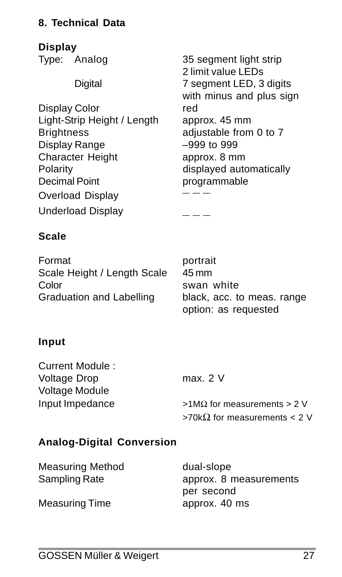#### **8. Technical Data**

**Display**

Display Color The Red Light-Strip Height / Length approx. 45 mm Display Range **and American Control 1999**<br>Character Height **Character** Height Character Height Polarity displayed automatically Decimal Point **programmable** Overload Display **b**  $---$ **Underload Display** 

Type: Analog 35 segment light strip 2 limit value LEDs Digital 7 segment LED, 3 digits with minus and plus sign adjustable from  $0$  to  $7$ 

#### **Scale**

Format portrait Scale Height / Length Scale 45 mm Color **swan** white Graduation and Labelling black, acc. to meas. range

option: as requested

#### **Input**

Current Module : Voltage Drop max. 2 V Voltage Module Input Impedance  $>1$ MΩ for measurements > 2 V

>70kΩ for measurements < 2 V

#### **Analog-Digital Conversion**

| Measuring Method | dual-slope             |
|------------------|------------------------|
| Sampling Rate    | approx. 8 measurements |
|                  | per second             |
| Measuring Time   | approx. 40 ms          |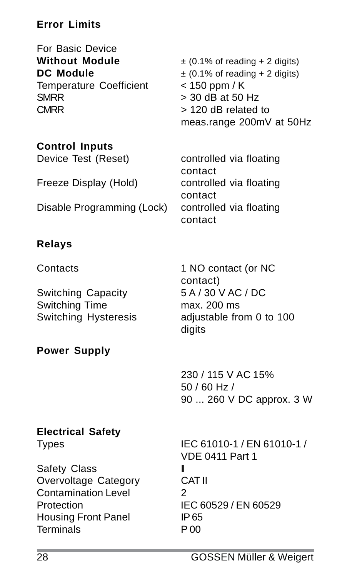# **Error Limits**

For Basic Device Temperature Coefficient  $SMRR$   $>$  30 dB at 50 Hz CMRR > 120 dB related to

**Without Module**  $\pm$  (0.1% of reading + 2 digits) **DC Module**  $\pm (0.1\% \text{ of reading} + 2 \text{ digits})$ <br> **Temperature Coefficient**  $\leq 150 \text{ ppm / K}$ meas.range 200mV at 50Hz

#### **Control Inputs**

Device Test (Reset) controlled via floating contact Freeze Display (Hold) controlled via floating contact Disable Programming (Lock) controlled via floating contact

# **Relays**

Switching Capacity 5 A / 30 V AC / DC<br>Switching Time max. 200 ms Switching Time

# **Power Supply**

Contacts 1 NO contact (or NC contact) Switching Hysteresis adjustable from 0 to 100 digits

> 230 / 115 V AC 15% 50 / 60 Hz / 90 ... 260 V DC approx. 3 W

# **Electrical Safety**

Safety Class **II** Overvoltage Category CAT II Contamination Level 2 Protection IEC 60529 / EN 60529 Housing Front Panel IP 65 Terminals P 00

Types IEC 61010-1 / EN 61010-1 / VDE 0411 Part 1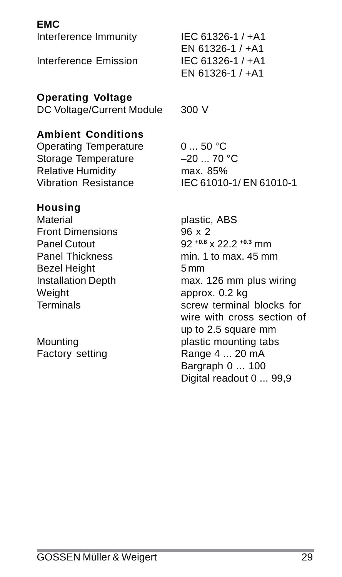Interference Immunity IEC 61326-1 / +A1 Interference Emission IEC 61326-1 / +A1

#### **Operating Voltage**

DC Voltage/Current Module 300 V

# **Ambient Conditions**

Operating Temperature 0 ... 50 °C<br>Storage Temperature -20 ... 70 °C Storage Temperature Relative Humidity<br>Vibration Resistance IFC 61010

# **Housing**

Material plastic, ABS Front Dimensions 96 x 2 Bezel Height 5 mm Weight **approx.** 0.2 kg

EN 61326-1 / +A1 EN 61326-1 / +A1

IEC 61010-1/ EN 61010-1

Panel Cutout 92 **+0.8** x 22.2 **+0.3** mm Panel Thickness min. 1 to max. 45 mm Installation Depth max. 126 mm plus wiring Terminals screw terminal blocks for wire with cross section of up to 2.5 square mm Mounting **plastic mounting tabs** Factory setting Range 4 ... 20 mA Bargraph 0 ... 100 Digital readout 0 ... 99.9